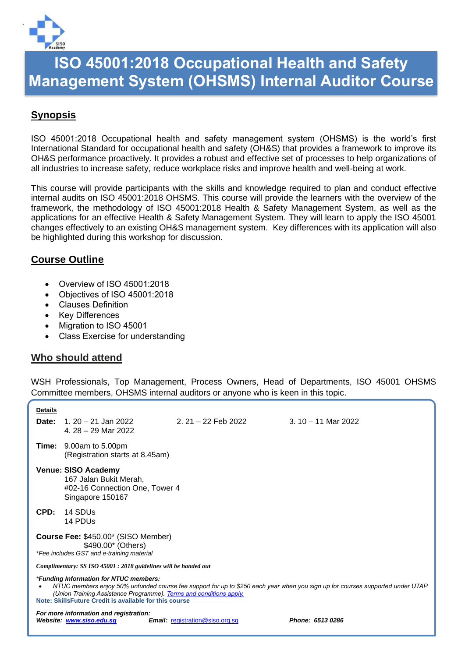

## **ISO 45001:2018 Occupational Health and Safety Management System (OHSMS) Internal Auditor Course**

## **Synopsis**

ISO 45001:2018 Occupational health and safety management system (OHSMS) is the world's first International Standard for occupational health and safety (OH&S) that provides a framework to improve its OH&S performance proactively. It provides a robust and effective set of processes to help organizations of all industries to increase safety, reduce workplace risks and improve health and well-being at work.

This course will provide participants with the skills and knowledge required to plan and conduct effective internal audits on ISO 45001:2018 OHSMS. This course will provide the learners with the overview of the framework, the methodology of ISO 45001:2018 Health & Safety Management System, as well as the applications for an effective Health & Safety Management System. They will learn to apply the ISO 45001 changes effectively to an existing OH&S management system. Key differences with its application will also be highlighted during this workshop for discussion.

## **Course Outline**

- Overview of ISO 45001:2018
- Objectives of ISO 45001:2018
- Clauses Definition
- Key Differences
- Migration to ISO 45001
- Class Exercise for understanding

## **Who should attend**

WSH Professionals, Top Management, Process Owners, Head of Departments, ISO 45001 OHSMS Committee members, OHSMS internal auditors or anyone who is keen in this topic.

| <b>Details</b>                                                                                                                                                                                                                                                                                           |                                                                                                     |                                        |                      |  |  |  |  |  |
|----------------------------------------------------------------------------------------------------------------------------------------------------------------------------------------------------------------------------------------------------------------------------------------------------------|-----------------------------------------------------------------------------------------------------|----------------------------------------|----------------------|--|--|--|--|--|
|                                                                                                                                                                                                                                                                                                          | <b>Date:</b> 1, 20 – 21 Jan 2022<br>4.28 - 29 Mar 2022                                              | 2, 21 – 22 Feb 2022                    | $3.10 - 11$ Mar 2022 |  |  |  |  |  |
|                                                                                                                                                                                                                                                                                                          | <b>Time:</b> $9.00am$ to $5.00pm$<br>(Registration starts at 8.45am)                                |                                        |                      |  |  |  |  |  |
|                                                                                                                                                                                                                                                                                                          | Venue: SISO Academy<br>167 Jalan Bukit Merah,<br>#02-16 Connection One, Tower 4<br>Singapore 150167 |                                        |                      |  |  |  |  |  |
| CPD:                                                                                                                                                                                                                                                                                                     | 14 SDUs<br>14 PDU <sub>s</sub>                                                                      |                                        |                      |  |  |  |  |  |
| Course Fee: \$450.00* (SISO Member)<br>\$490.00* (Others)<br>*Fee includes GST and e-training material                                                                                                                                                                                                   |                                                                                                     |                                        |                      |  |  |  |  |  |
| Complimentary: SS ISO 45001 : 2018 guidelines will be handed out                                                                                                                                                                                                                                         |                                                                                                     |                                        |                      |  |  |  |  |  |
| *Funding Information for NTUC members:<br>NTUC members enjoy 50% unfunded course fee support for up to \$250 each year when you sign up for courses supported under UTAP<br>(Union Training Assistance Programme). Terms and conditions apply.<br>Note: SkillsFuture Credit is available for this course |                                                                                                     |                                        |                      |  |  |  |  |  |
|                                                                                                                                                                                                                                                                                                          | For more information and registration:<br>Website: www.siso.edu.sq                                  | <b>Email:</b> registration@siso.org.sq | Phone: 6513 0286     |  |  |  |  |  |